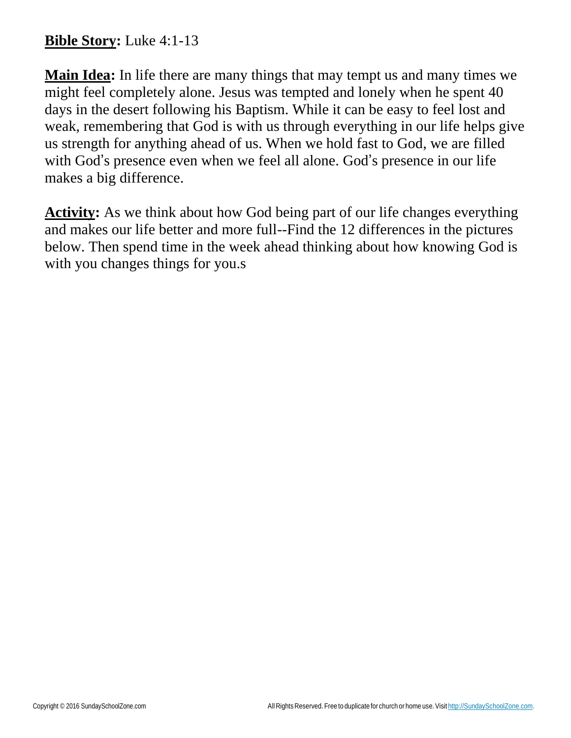## **Bible Story:** Luke 4:1-13

**Main Idea:** In life there are many things that may tempt us and many times we might feel completely alone. Jesus was tempted and lonely when he spent 40 days in the desert following his Baptism. While it can be easy to feel lost and weak, remembering that God is with us through everything in our life helps give us strength for anything ahead of us. When we hold fast to God, we are filled with God's presence even when we feel all alone. God's presence in our life makes a big difference.

**Activity:** As we think about how God being part of our life changes everything and makes our life better and more full--Find the 12 differences in the pictures below. Then spend time in the week ahead thinking about how knowing God is with you changes things for you.s